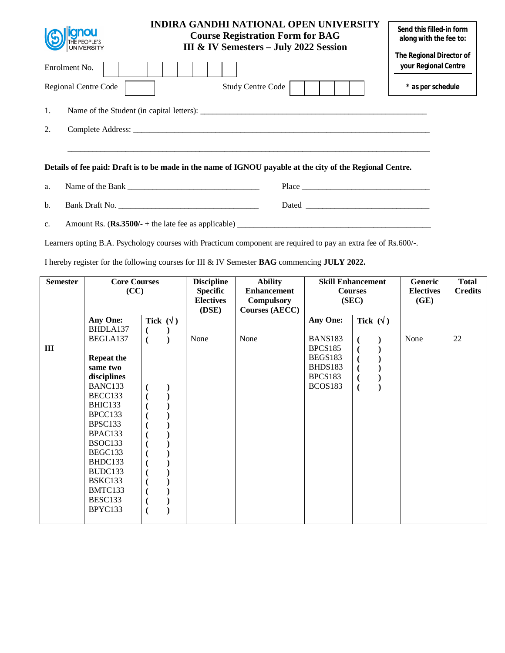| <b>SUSPERS TO A LIGARDON</b><br>UNIVERSITY | <b>INDIRA GANDHI NATIONAL OPEN UNIVERSITY</b><br><b>Course Registration Form for BAG</b><br>III & IV Semesters - July 2022 Session | Send this filled-in form<br>along with the fee to: |
|--------------------------------------------|------------------------------------------------------------------------------------------------------------------------------------|----------------------------------------------------|
| Enrolment No.                              |                                                                                                                                    | The Regional Director of<br>your Regional Centre   |
| Regional Centre Code                       | <b>Study Centre Code</b>                                                                                                           | * as per schedule                                  |
| 1.                                         |                                                                                                                                    |                                                    |
| 2.                                         | Complete Address:                                                                                                                  |                                                    |
|                                            | Details of fee paid: Draft is to be made in the name of IGNOU payable at the city of the Regional Centre.                          |                                                    |

| a. | Name of the Bank | Place |
|----|------------------|-------|
| b. | Bank Draft No.   | Dated |

c. Amount Rs.  $(\mathbf{Rs.3500/-} + \text{the late fee as applicable})$ 

Learners opting B.A. Psychology courses with Practicum component are required to pay an extra fee of Rs.600/-.

I hereby register for the following courses for III & IV Semester **BAG** commencing **JULY 2022.** 

| <b>Semester</b> | <b>Core Courses</b> |                  | <b>Discipline</b> | <b>Ability</b>     |                       | <b>Skill Enhancement</b> | Generic          | <b>Total</b>   |    |
|-----------------|---------------------|------------------|-------------------|--------------------|-----------------------|--------------------------|------------------|----------------|----|
|                 | (CC)                |                  | <b>Specific</b>   | <b>Enhancement</b> | <b>Courses</b>        |                          | <b>Electives</b> | <b>Credits</b> |    |
|                 |                     |                  |                   | <b>Electives</b>   | <b>Compulsory</b>     |                          | (SEC)            | (GE)           |    |
|                 |                     |                  |                   | (DSE)              | <b>Courses (AECC)</b> |                          |                  |                |    |
|                 | Any One:            | Tick $(\forall)$ |                   |                    |                       | <b>Any One:</b>          | Tick $(\sqrt{})$ |                |    |
|                 | BHDLA137            |                  |                   |                    |                       |                          |                  |                |    |
|                 | BEGLA137            | $\overline{(}$   |                   | None               | None                  | <b>BANS183</b>           |                  | None           | 22 |
| III             |                     |                  |                   |                    |                       | <b>BPCS185</b>           |                  |                |    |
|                 | <b>Repeat the</b>   |                  |                   |                    |                       | <b>BEGS183</b>           |                  |                |    |
|                 | same two            |                  |                   |                    |                       | BHDS183                  |                  |                |    |
|                 | disciplines         |                  |                   |                    |                       | BPCS183                  |                  |                |    |
|                 | BANC133             |                  |                   |                    |                       | BCOS183                  |                  |                |    |
|                 | BECC133             |                  |                   |                    |                       |                          |                  |                |    |
|                 | BHIC133             |                  |                   |                    |                       |                          |                  |                |    |
|                 | BPCC133             |                  |                   |                    |                       |                          |                  |                |    |
|                 | BPSC133             |                  |                   |                    |                       |                          |                  |                |    |
|                 | BPAC133             |                  |                   |                    |                       |                          |                  |                |    |
|                 | BSOC133             |                  |                   |                    |                       |                          |                  |                |    |
|                 | BEGC133             |                  |                   |                    |                       |                          |                  |                |    |
|                 | BHDC133             |                  |                   |                    |                       |                          |                  |                |    |
|                 | BUDC133             |                  |                   |                    |                       |                          |                  |                |    |
|                 | BSKC133             |                  |                   |                    |                       |                          |                  |                |    |
|                 | BMTC133             |                  |                   |                    |                       |                          |                  |                |    |
|                 | BESC133             |                  |                   |                    |                       |                          |                  |                |    |
|                 | BPYC133             |                  |                   |                    |                       |                          |                  |                |    |
|                 |                     |                  |                   |                    |                       |                          |                  |                |    |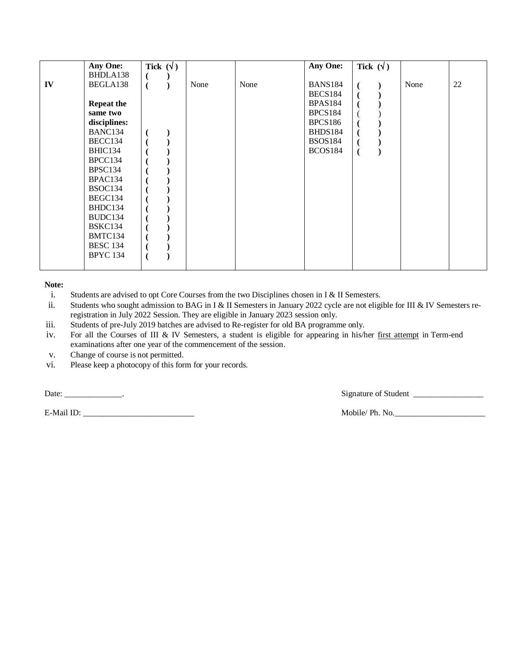|    | <b>Any One:</b>   | Tick $(\forall)$ |      |      | Any One:       | Tick $(\forall)$ |      |    |
|----|-------------------|------------------|------|------|----------------|------------------|------|----|
|    | BHDLA138          |                  |      |      |                |                  |      |    |
| IV | BEGLA138          |                  | None | None | <b>BANS184</b> |                  | None | 22 |
|    |                   |                  |      |      | <b>BECS184</b> |                  |      |    |
|    | <b>Repeat the</b> |                  |      |      | <b>BPAS184</b> |                  |      |    |
|    | same two          |                  |      |      | <b>BPCS184</b> |                  |      |    |
|    | disciplines:      |                  |      |      | BPCS186        |                  |      |    |
|    | BANC134           |                  |      |      | BHDS184        |                  |      |    |
|    | BECC134           |                  |      |      | <b>BSOS184</b> |                  |      |    |
|    | BHIC134           |                  |      |      | <b>BCOS184</b> |                  |      |    |
|    | BPCC134           |                  |      |      |                |                  |      |    |
|    | BPSC134           |                  |      |      |                |                  |      |    |
|    | BPAC134           |                  |      |      |                |                  |      |    |
|    | BSOC134           |                  |      |      |                |                  |      |    |
|    | BEGC134           |                  |      |      |                |                  |      |    |
|    | BHDC134           |                  |      |      |                |                  |      |    |
|    | BUDC134           |                  |      |      |                |                  |      |    |
|    | BSKC134           |                  |      |      |                |                  |      |    |
|    | BMTC134           |                  |      |      |                |                  |      |    |
|    | <b>BESC 134</b>   |                  |      |      |                |                  |      |    |
|    |                   |                  |      |      |                |                  |      |    |
|    | <b>BPYC 134</b>   |                  |      |      |                |                  |      |    |
|    |                   |                  |      |      |                |                  |      |    |

i. Students are advised to opt Core Courses from the two Disciplines chosen in I & II Semesters.

ii. Students who sought admission to BAG in I & II Semesters in January 2022 cycle are not eligible for III & IV Semesters reregistration in July 2022 Session. They are eligible in January 2023 session only.

iii. Students of pre-July 2019 batches are advised to Re-register for old BA programme only.

- iv. For all the Courses of III & IV Semesters, a student is eligible for appearing in his/her first attempt in Term-end examinations after one year of the commencement of the session.
- v. Change of course is not permitted.
- vi. Please keep a photocopy of this form for your records.

E-Mail ID: \_\_\_\_\_\_\_\_\_\_\_\_\_\_\_\_\_\_\_\_\_\_\_\_\_\_\_ Mobile/ Ph. No.\_\_\_\_\_\_\_\_\_\_\_\_\_\_\_\_\_\_\_\_\_\_

Date: \_\_\_\_\_\_\_\_\_\_\_\_\_\_\_\_\_.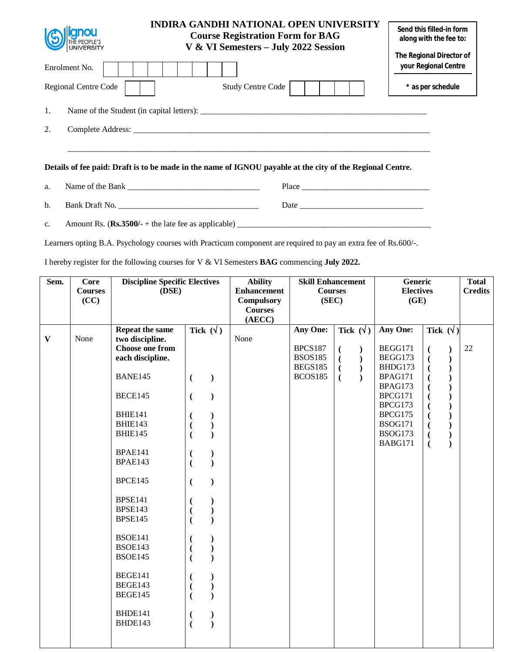| <b>SO CONGRESS TO A DISPOSE</b> | <b>INDIRA GANDHI NATIONAL OPEN UNIVERSITY</b><br><b>Course Registration Form for BAG</b><br>V & VI Semesters - July 2022 Session | Send this filled-in form<br>along with the fee to:<br>The Regional Director of |
|---------------------------------|----------------------------------------------------------------------------------------------------------------------------------|--------------------------------------------------------------------------------|
| Enrolment No.                   |                                                                                                                                  | your Regional Centre                                                           |
| Regional Centre Code            | <b>Study Centre Code</b>                                                                                                         | * as per schedule                                                              |
| 1.                              | Name of the Student (in capital letters):                                                                                        |                                                                                |
| 2.                              |                                                                                                                                  |                                                                                |
|                                 |                                                                                                                                  |                                                                                |
|                                 | Details of fee paid: Draft is to be made in the name of IGNOU payable at the city of the Regional Centre.                        |                                                                                |

a. Name of the Bank \_\_\_\_\_\_\_\_\_\_\_\_\_\_\_\_\_\_\_\_\_\_\_\_\_\_\_\_\_\_\_\_ Place \_\_\_\_\_\_\_\_\_\_\_\_\_\_\_\_\_\_\_\_\_\_\_\_\_\_\_\_\_\_\_

b. Bank Draft No. \_\_\_\_\_\_\_\_\_\_\_\_\_\_\_\_\_\_\_\_\_\_\_\_\_\_\_\_\_\_\_\_\_\_ Date \_\_\_\_\_\_\_\_\_\_\_\_\_\_\_\_\_\_\_\_\_\_\_\_\_\_\_\_\_\_

c. Amount Rs.  $(\text{Rs.3500/-} + \text{the late fee as applicable})$ 

Learners opting B.A. Psychology courses with Practicum component are required to pay an extra fee of Rs.600/-.

I hereby register for the following courses for V & VI Semesters **BAG** commencing **July 2022.** 

| Sem.         | <b>Core</b>    | <b>Discipline Specific Electives</b> |                                            | <b>Ability</b>     | <b>Skill Enhancement</b> |                                 | <b>Generic</b>     | <b>Total</b>                              |                |
|--------------|----------------|--------------------------------------|--------------------------------------------|--------------------|--------------------------|---------------------------------|--------------------|-------------------------------------------|----------------|
|              | <b>Courses</b> | (DSE)                                |                                            | <b>Enhancement</b> | <b>Courses</b>           |                                 | <b>Electives</b>   |                                           | <b>Credits</b> |
|              | (CC)           |                                      |                                            | <b>Compulsory</b>  | (SEC)                    |                                 | (GE)               |                                           |                |
|              |                |                                      |                                            | <b>Courses</b>     |                          |                                 |                    |                                           |                |
|              |                |                                      |                                            | (AECC)             |                          |                                 |                    |                                           |                |
|              |                | Repeat the same                      | Tick $(\sqrt{})$                           |                    | <b>Any One:</b>          | Tick $(\forall)$                | Any One:           | Tick $(\forall)$                          |                |
| $\mathbf{V}$ | None           | two discipline.                      |                                            | None               |                          |                                 |                    |                                           |                |
|              |                | <b>Choose one from</b>               |                                            |                    | <b>BPCS187</b>           | $\overline{(}$<br>$\mathcal{F}$ | BEGG171            | $\overline{(\ }$<br>$\mathcal{E}$         | 22             |
|              |                | each discipline.                     |                                            |                    | <b>BSOS185</b>           | $\mathcal{L}$<br>€              | BEGG173            | $\overline{\mathcal{L}}$<br>$\mathcal{E}$ |                |
|              |                |                                      |                                            |                    | <b>BEGS185</b>           | $\mathcal{L}$<br>€              | BHDG173            | $\mathcal{E}$<br>$\overline{(}$           |                |
|              |                | BANE145                              | $\mathcal{E}$<br>$\overline{C}$            |                    | <b>BCOS185</b>           | $\mathcal{L}$<br>€              | BPAG171            | $\mathcal{E}$                             |                |
|              |                |                                      |                                            |                    |                          |                                 | BPAG173            |                                           |                |
|              |                | BECE145                              | $\mathcal{E}$<br>$\overline{(\ }$          |                    |                          |                                 | BPCG171            |                                           |                |
|              |                | <b>BHIE141</b>                       |                                            |                    |                          |                                 | BPCG173<br>BPCG175 |                                           |                |
|              |                | BHIE143                              |                                            |                    |                          |                                 | <b>BSOG171</b>     |                                           |                |
|              |                | BHIE145                              |                                            |                    |                          |                                 | <b>BSOG173</b>     |                                           |                |
|              |                |                                      |                                            |                    |                          |                                 | BABG171            | $\mathcal{E}$<br>$\overline{\mathcal{L}}$ |                |
|              |                | BPAE141                              |                                            |                    |                          |                                 |                    | $\overline{(}$                            |                |
|              |                | BPAE143                              |                                            |                    |                          |                                 |                    |                                           |                |
|              |                |                                      |                                            |                    |                          |                                 |                    |                                           |                |
|              |                | BPCE145                              | $\mathcal{E}$<br>€                         |                    |                          |                                 |                    |                                           |                |
|              |                |                                      |                                            |                    |                          |                                 |                    |                                           |                |
|              |                | <b>BPSE141</b>                       | €                                          |                    |                          |                                 |                    |                                           |                |
|              |                | <b>BPSE143</b>                       |                                            |                    |                          |                                 |                    |                                           |                |
|              |                | <b>BPSE145</b>                       |                                            |                    |                          |                                 |                    |                                           |                |
|              |                |                                      |                                            |                    |                          |                                 |                    |                                           |                |
|              |                | <b>BSOE141</b>                       |                                            |                    |                          |                                 |                    |                                           |                |
|              |                | <b>BSOE143</b>                       |                                            |                    |                          |                                 |                    |                                           |                |
|              |                | <b>BSOE145</b>                       |                                            |                    |                          |                                 |                    |                                           |                |
|              |                |                                      |                                            |                    |                          |                                 |                    |                                           |                |
|              |                | BEGE141                              |                                            |                    |                          |                                 |                    |                                           |                |
|              |                | <b>BEGE143</b>                       |                                            |                    |                          |                                 |                    |                                           |                |
|              |                | BEGE145                              | $\overline{)}$<br>$\overline{(}$           |                    |                          |                                 |                    |                                           |                |
|              |                |                                      |                                            |                    |                          |                                 |                    |                                           |                |
|              |                | BHDE141                              | $)$                                        |                    |                          |                                 |                    |                                           |                |
|              |                | BHDE143                              | $\overline{\mathcal{L}}$<br>$\overline{(}$ |                    |                          |                                 |                    |                                           |                |
|              |                |                                      |                                            |                    |                          |                                 |                    |                                           |                |
|              |                |                                      |                                            |                    |                          |                                 |                    |                                           |                |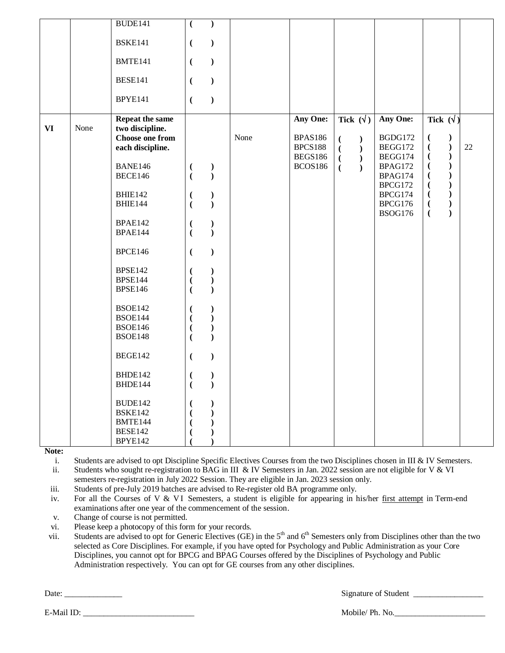|    |      | BUDE141                                                                          | $\overline{(\ }$                                          | $\mathcal{L}$                                                                        |      |                                                         |                                                                           |                                           |                                                                                                                                 |    |
|----|------|----------------------------------------------------------------------------------|-----------------------------------------------------------|--------------------------------------------------------------------------------------|------|---------------------------------------------------------|---------------------------------------------------------------------------|-------------------------------------------|---------------------------------------------------------------------------------------------------------------------------------|----|
|    |      | <b>BSKE141</b>                                                                   | $\overline{(\ }$                                          | $\big)$                                                                              |      |                                                         |                                                                           |                                           |                                                                                                                                 |    |
|    |      | BMTE141                                                                          | $\overline{(\ }$                                          | $\big)$                                                                              |      |                                                         |                                                                           |                                           |                                                                                                                                 |    |
|    |      | <b>BESE141</b>                                                                   | $\overline{(\cdot)}$                                      | $\mathcal{L}$                                                                        |      |                                                         |                                                                           |                                           |                                                                                                                                 |    |
|    |      | BPYE141                                                                          | $\overline{(\cdot)}$                                      | $\big)$                                                                              |      |                                                         |                                                                           |                                           |                                                                                                                                 |    |
| VI | None | <b>Repeat the same</b><br>two discipline.<br>Choose one from<br>each discipline. |                                                           |                                                                                      | None | Any One:<br><b>BPAS186</b><br><b>BPCS188</b><br>BEGS186 | Tick $(\sqrt{})$<br>$\mathcal{L}$<br>$\overline{(}$<br>$\mathcal{L}$<br>€ | Any One:<br>BGDG172<br>BEGG172<br>BEGG174 | Tick $(\sqrt{})$<br>$\overline{(\ }$<br>$\mathcal{E}$<br>$\overline{(\ }$<br>$\mathcal{E}$<br>$\overline{(\ }$<br>$\mathcal{L}$ | 22 |
|    |      | BANE146<br>BECE146                                                               | $\binom{1}{1}$                                            | $\begin{smallmatrix} \frac{1}{2} \end{smallmatrix}$                                  |      | <b>BCOS186</b>                                          | $\mathcal{L}$<br>$\overline{(\ }$<br>$\mathcal{L}$<br>$\overline{(\ }$    | BPAG172<br>BPAG174<br>BPCG172             | $\big)$<br>$\overline{(\ }$<br>$\mathcal{E}$<br>$\overline{\mathcal{L}}$<br>$\mathcal{E}$<br>$\overline{(\ }$                   |    |
|    |      | BHIE142                                                                          | $\overline{(}$                                            | $\big)$                                                                              |      |                                                         |                                                                           | BPCG174                                   | $)$<br>$\overline{(\ }$                                                                                                         |    |
|    |      | <b>BHIE144</b>                                                                   | $\overline{(\ }$                                          | $\mathcal{L}$                                                                        |      |                                                         |                                                                           | BPCG176                                   | $\bm)$<br>$\overline{(\ }$<br>$\overline{)}$                                                                                    |    |
|    |      | <b>BPAE142</b>                                                                   |                                                           | $\big)$                                                                              |      |                                                         |                                                                           | <b>BSOG176</b>                            | $\overline{(\ }$                                                                                                                |    |
|    |      | <b>BPAE144</b>                                                                   | $\left($<br>$\left($                                      | $\mathcal{L}$                                                                        |      |                                                         |                                                                           |                                           |                                                                                                                                 |    |
|    |      |                                                                                  |                                                           |                                                                                      |      |                                                         |                                                                           |                                           |                                                                                                                                 |    |
|    |      | BPCE146                                                                          | $\overline{(\ }$                                          | $\mathcal{L}$                                                                        |      |                                                         |                                                                           |                                           |                                                                                                                                 |    |
|    |      | <b>BPSE142</b>                                                                   | €                                                         | $\mathcal{E}$                                                                        |      |                                                         |                                                                           |                                           |                                                                                                                                 |    |
|    |      | <b>BPSE144</b>                                                                   | $\overline{(\ }$                                          | $\big)$                                                                              |      |                                                         |                                                                           |                                           |                                                                                                                                 |    |
|    |      | <b>BPSE146</b>                                                                   | $\overline{(}$                                            | $\lambda$                                                                            |      |                                                         |                                                                           |                                           |                                                                                                                                 |    |
|    |      | <b>BSOE142</b><br><b>BSOE144</b><br><b>BSOE146</b><br><b>BSOE148</b>             | $\overline{(}$<br>$\overline{(}$<br>$\overline{(\ }$<br>€ | $\mathcal{E}$<br>$\mathcal{L}$<br>$\overline{\mathbf{)}$<br>$\overline{\mathcal{L}}$ |      |                                                         |                                                                           |                                           |                                                                                                                                 |    |
|    |      | BEGE142                                                                          | $\overline{(\ }$                                          | $\mathcal{L}$                                                                        |      |                                                         |                                                                           |                                           |                                                                                                                                 |    |
|    |      | BHDE142                                                                          | $\overline{\mathcal{L}}$                                  | $\mathcal{E}$                                                                        |      |                                                         |                                                                           |                                           |                                                                                                                                 |    |
|    |      | BHDE144                                                                          | $\overline{(}$                                            | $\mathcal{L}$                                                                        |      |                                                         |                                                                           |                                           |                                                                                                                                 |    |
|    |      | BUDE142                                                                          | $\left($                                                  |                                                                                      |      |                                                         |                                                                           |                                           |                                                                                                                                 |    |
|    |      | <b>BSKE142</b>                                                                   | $\overline{\mathcal{L}}$                                  |                                                                                      |      |                                                         |                                                                           |                                           |                                                                                                                                 |    |
|    |      | BMTE144                                                                          |                                                           |                                                                                      |      |                                                         |                                                                           |                                           |                                                                                                                                 |    |
|    |      | <b>BESE142</b>                                                                   |                                                           |                                                                                      |      |                                                         |                                                                           |                                           |                                                                                                                                 |    |
|    |      | BPYE142                                                                          |                                                           |                                                                                      |      |                                                         |                                                                           |                                           |                                                                                                                                 |    |

i. Students are advised to opt Discipline Specific Electives Courses from the two Disciplines chosen in III & IV Semesters.

ii. Students who sought re-registration to BAG in III & IV Semesters in Jan. 2022 session are not eligible for V & VI semesters re-registration in July 2022 Session. They are eligible in Jan. 2023 session only.

iii. Students of pre-July 2019 batches are advised to Re-register old BA programme only.

iv. For all the Courses of V & VI Semesters, a student is eligible for appearing in his/her first attempt in Term-end examinations after one year of the commencement of the session.

v. Change of course is not permitted.

vi. Please keep a photocopy of this form for your records.

vii. Students are advised to opt for Generic Electives (GE) in the 5<sup>th</sup> and 6<sup>th</sup> Semesters only from Disciplines other than the two selected as Core Disciplines. For example, if you have opted for Psychology and Public Administration as your Core Disciplines, you cannot opt for BPCG and BPAG Courses offered by the Disciplines of Psychology and Public Administration respectively. You can opt for GE courses from any other disciplines.

Date: \_\_\_\_\_\_\_\_\_\_\_\_\_\_ Signature of Student \_\_\_\_\_\_\_\_\_\_\_\_\_\_\_\_\_

E-Mail ID: \_\_\_\_\_\_\_\_\_\_\_\_\_\_\_\_\_\_\_\_\_\_\_\_\_\_\_ Mobile/ Ph. No.\_\_\_\_\_\_\_\_\_\_\_\_\_\_\_\_\_\_\_\_\_\_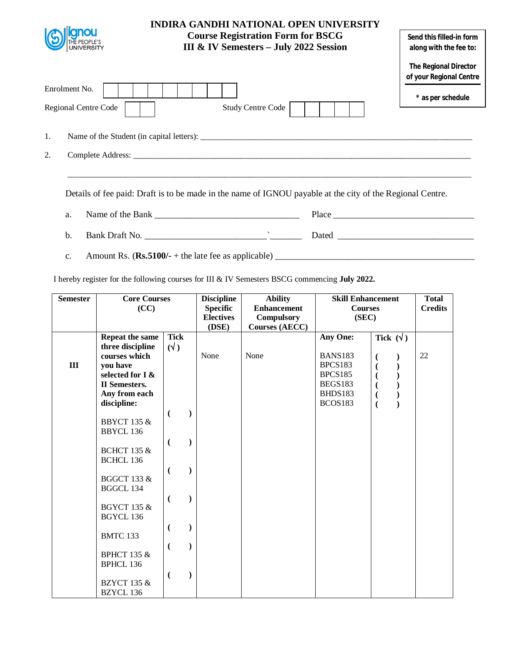|                                              | <b>INDIRA GANDHI NATIONAL OPEN UNIVERSITY</b><br><b>Course Registration Form for BSCG</b><br><b>III &amp; IV Semesters - July 2022 Session</b> | Send this filled-in form<br>along with the fee to:      |
|----------------------------------------------|------------------------------------------------------------------------------------------------------------------------------------------------|---------------------------------------------------------|
|                                              |                                                                                                                                                | <b>The Regional Director</b><br>of your Regional Centre |
| Enrolment No.<br><b>Regional Centre Code</b> | <b>Study Centre Code</b>                                                                                                                       | * as per schedule                                       |
| 1.                                           |                                                                                                                                                |                                                         |
| 2.                                           |                                                                                                                                                |                                                         |
|                                              | Details of fee paid: Draft is to be made in the name of IGNOU payable at the city of the Regional Centre.                                      |                                                         |

- a. Name of the Bank  $\Box$ b. Bank Draft No. \_\_\_\_\_\_\_\_\_\_\_\_\_\_\_\_\_\_\_\_\_\_\_\_\_\_\_`\_\_\_\_\_\_\_ Dated \_\_\_\_\_\_\_\_\_\_\_\_\_\_\_\_\_\_\_\_\_\_\_\_\_\_\_\_\_\_
- c. Amount Rs.  $(\mathbf{Rs.5100/-} + \text{the late fee as applicable})$

I hereby register for the following courses for III & IV Semesters BSCG commencing **July 2022.**

| <b>Semester</b> | <b>Core Courses</b><br>(CC)                                              |                                 | <b>Discipline</b>                   | <b>Ability</b>                          | <b>Skill Enhancement</b>                               |                                                                                  | <b>Total</b>   |
|-----------------|--------------------------------------------------------------------------|---------------------------------|-------------------------------------|-----------------------------------------|--------------------------------------------------------|----------------------------------------------------------------------------------|----------------|
|                 |                                                                          |                                 | <b>Specific</b><br><b>Electives</b> | <b>Enhancement</b><br><b>Compulsory</b> | <b>Courses</b><br>(SEC)                                |                                                                                  | <b>Credits</b> |
|                 |                                                                          |                                 | (DSE)                               | <b>Courses (AECC)</b>                   |                                                        |                                                                                  |                |
| $\mathbf{III}$  | Repeat the same<br>three discipline<br>courses which<br>you have         | <b>Tick</b><br>$(\sqrt{2})$     | None                                | None                                    | Any One:<br><b>BANS183</b><br>BPCS183                  | Tick $(\forall)$<br>$\overline{\mathcal{L}}$                                     | 22             |
|                 | selected for I &<br><b>II</b> Semesters.<br>Any from each<br>discipline: |                                 |                                     |                                         | <b>BPCS185</b><br>BEGS183<br>BHDS183<br><b>BCOS183</b> | $\overline{\mathcal{L}}$<br>$\overline{\mathcal{L}}$<br>$\overline{\mathcal{L}}$ |                |
|                 | <b>BBYCT 135 &amp;</b><br><b>BBYCL 136</b>                               | €<br>$\lambda$                  |                                     |                                         |                                                        |                                                                                  |                |
|                 | <b>BCHCT 135 &amp;</b><br><b>BCHCL 136</b>                               | €                               |                                     |                                         |                                                        |                                                                                  |                |
|                 | <b>BGGCT 133 &amp;</b><br>BGGCL 134                                      | €<br>$\mathcal{E}$              |                                     |                                         |                                                        |                                                                                  |                |
|                 | <b>BGYCT 135 &amp;</b><br><b>BGYCL 136</b>                               | €                               |                                     |                                         |                                                        |                                                                                  |                |
|                 | <b>BMTC 133</b>                                                          | $\overline{(}$<br>$\mathcal{E}$ |                                     |                                         |                                                        |                                                                                  |                |
|                 | <b>BPHCT 135 &amp;</b><br><b>BPHCL 136</b>                               | $\overline{(}$                  |                                     |                                         |                                                        |                                                                                  |                |
|                 | <b>BZYCT 135 &amp;</b><br>BZYCL 136                                      | $\overline{(}$<br>$\mathcal{E}$ |                                     |                                         |                                                        |                                                                                  |                |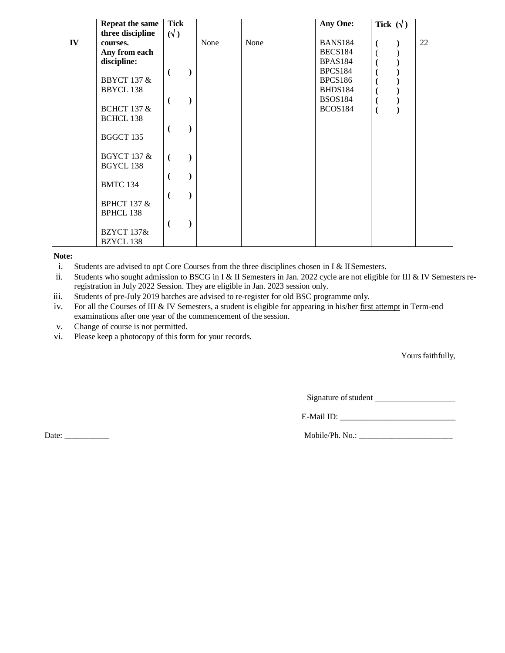|    | Repeat the same        | <b>Tick</b>  |      |      | Any One:            | Tick $(\forall)$ |    |
|----|------------------------|--------------|------|------|---------------------|------------------|----|
|    | three discipline       | $(\sqrt{2})$ |      |      |                     |                  |    |
| IV | courses.               |              | None | None | BANS <sub>184</sub> |                  | 22 |
|    | Any from each          |              |      |      | BECS184             |                  |    |
|    | discipline:            |              |      |      | <b>BPAS184</b>      |                  |    |
|    |                        |              |      |      | BPCS184             |                  |    |
|    | <b>BBYCT 137 &amp;</b> |              |      |      | BPCS186             |                  |    |
|    | <b>BBYCL 138</b>       |              |      |      | BHDS184             |                  |    |
|    |                        |              |      |      | <b>BSOS184</b>      |                  |    |
|    | <b>BCHCT 137 &amp;</b> |              |      |      | BCOS184             |                  |    |
|    | <b>BCHCL 138</b>       |              |      |      |                     |                  |    |
|    |                        |              |      |      |                     |                  |    |
|    | BGGCT 135              |              |      |      |                     |                  |    |
|    |                        |              |      |      |                     |                  |    |
|    | <b>BGYCT 137 &amp;</b> |              |      |      |                     |                  |    |
|    | BGYCL 138              |              |      |      |                     |                  |    |
|    |                        |              |      |      |                     |                  |    |
|    | <b>BMTC 134</b>        |              |      |      |                     |                  |    |
|    |                        |              |      |      |                     |                  |    |
|    | <b>BPHCT 137 &amp;</b> |              |      |      |                     |                  |    |
|    | <b>BPHCL 138</b>       |              |      |      |                     |                  |    |
|    |                        |              |      |      |                     |                  |    |
|    | <b>BZYCT 137&amp;</b>  |              |      |      |                     |                  |    |
|    |                        |              |      |      |                     |                  |    |
|    | <b>BZYCL 138</b>       |              |      |      |                     |                  |    |

i. Students are advised to opt Core Courses from the three disciplines chosen in I & IISemesters.

ii. Students who sought admission to BSCG in I & II Semesters in Jan. 2022 cycle are not eligible for III & IV Semesters reregistration in July 2022 Session. They are eligible in Jan. 2023 session only.

iii. Students of pre-July 2019 batches are advised to re-register for old BSC programme only.

iv. For all the Courses of III & IV Semesters, a student is eligible for appearing in his/her first attempt in Term-end examinations after one year of the commencement of the session.

v. Change of course is not permitted.

vi. Please keep a photocopy of this form for your records.

Yours faithfully,

Signature of student

E-Mail ID: \_\_\_\_\_\_\_\_\_\_\_\_\_\_\_\_\_\_\_\_\_\_\_\_\_\_\_\_

Date: \_\_\_\_\_\_\_\_\_\_\_ Mobile/Ph. No.: \_\_\_\_\_\_\_\_\_\_\_\_\_\_\_\_\_\_\_\_\_\_\_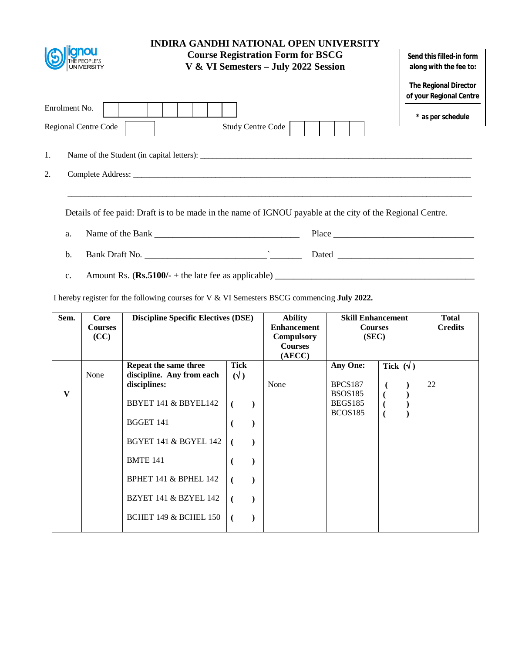|                                              | <b>INDIRA GANDHI NATIONAL OPEN UNIVERSITY</b><br><b>Course Registration Form for BSCG</b><br>V & VI Semesters - July 2022 Session | Send this filled-in form<br>along with the fee to: |
|----------------------------------------------|-----------------------------------------------------------------------------------------------------------------------------------|----------------------------------------------------|
|                                              |                                                                                                                                   | The Regional Director<br>of your Regional Centre   |
| Enrolment No.<br><b>Regional Centre Code</b> | <b>Study Centre Code</b>                                                                                                          | * as per schedule                                  |
| 1.                                           | Name of the Student (in capital letters):                                                                                         |                                                    |
| 2.                                           |                                                                                                                                   |                                                    |
|                                              | Details of fee paid: Draft is to be made in the name of IGNOU payable at the city of the Regional Centre.                         |                                                    |
| a.                                           |                                                                                                                                   | $Place \_$                                         |

- b. Bank Draft No. \_\_\_\_\_\_\_\_\_\_\_\_\_\_\_\_\_\_\_\_\_\_\_\_\_\_\_`\_\_\_\_\_\_\_ Dated \_\_\_\_\_\_\_\_\_\_\_\_\_\_\_\_\_\_\_\_\_\_\_\_\_\_\_\_\_\_
- c. Amount Rs.  $(\mathbf{Rs.5100/-} + \text{the late fee as applicable})$

I hereby register for the following courses for V & VI Semesters BSCG commencing **July 2022.**

| Sem.         | Core           | <b>Discipline Specific Electives (DSE)</b> |              |  | <b>Ability</b>     | <b>Skill Enhancement</b> |                  | <b>Total</b> |
|--------------|----------------|--------------------------------------------|--------------|--|--------------------|--------------------------|------------------|--------------|
|              | <b>Courses</b> |                                            |              |  | <b>Enhancement</b> | <b>Courses</b>           | <b>Credits</b>   |              |
|              | (CC)           |                                            |              |  | <b>Compulsory</b>  | (SEC)                    |                  |              |
|              |                |                                            |              |  | <b>Courses</b>     |                          |                  |              |
|              |                |                                            |              |  | (AECC)             |                          |                  |              |
|              |                | Repeat the same three                      | <b>Tick</b>  |  |                    | <b>Any One:</b>          | Tick $(\forall)$ |              |
|              | None           | discipline. Any from each                  | $(\sqrt{2})$ |  |                    |                          |                  |              |
|              |                | disciplines:                               |              |  | None               | <b>BPCS187</b>           |                  | 22           |
| $\mathbf{V}$ |                |                                            |              |  |                    | <b>BSOS185</b>           |                  |              |
|              |                | BBYET 141 & BBYEL142                       |              |  |                    | BEGS185                  |                  |              |
|              |                |                                            |              |  |                    | <b>BCOS185</b>           |                  |              |
|              |                | <b>BGGET 141</b>                           |              |  |                    |                          |                  |              |
|              |                |                                            |              |  |                    |                          |                  |              |
|              |                | <b>BGYET 141 &amp; BGYEL 142</b>           |              |  |                    |                          |                  |              |
|              |                |                                            |              |  |                    |                          |                  |              |
|              |                | <b>BMTE 141</b>                            |              |  |                    |                          |                  |              |
|              |                |                                            |              |  |                    |                          |                  |              |
|              |                | BPHET 141 & BPHEL 142                      |              |  |                    |                          |                  |              |
|              |                |                                            |              |  |                    |                          |                  |              |
|              |                | BZYET 141 & BZYEL 142                      |              |  |                    |                          |                  |              |
|              |                |                                            |              |  |                    |                          |                  |              |
|              |                | <b>BCHET 149 &amp; BCHEL 150</b>           | $\sqrt{ }$   |  |                    |                          |                  |              |
|              |                |                                            |              |  |                    |                          |                  |              |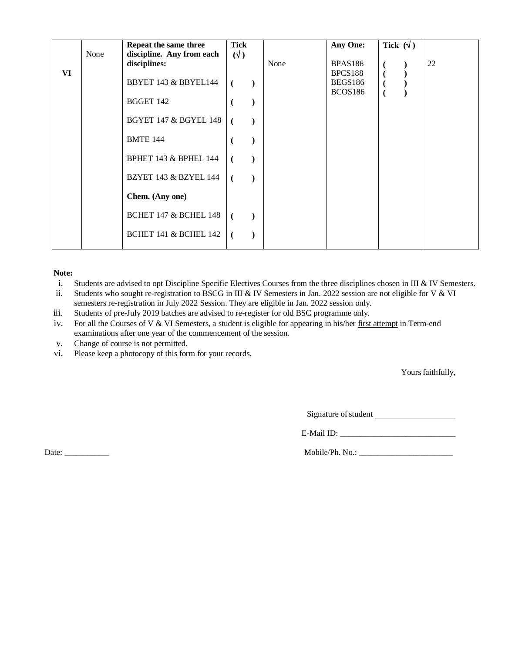|    | None | Repeat the same three<br>discipline. Any from each | <b>Tick</b><br>$(\sqrt{2})$ |      | Any One:                  | Tick $(\forall)$ |    |
|----|------|----------------------------------------------------|-----------------------------|------|---------------------------|------------------|----|
| VI |      | disciplines:                                       |                             | None | <b>BPAS186</b><br>BPCS188 |                  | 22 |
|    |      | BBYET 143 & BBYEL144                               | €                           |      | BEGS186                   |                  |    |
|    |      | BGGET 142                                          |                             |      | <b>BCOS186</b>            |                  |    |
|    |      | <b>BGYET 147 &amp; BGYEL 148</b>                   |                             |      |                           |                  |    |
|    |      | <b>BMTE 144</b>                                    |                             |      |                           |                  |    |
|    |      | BPHET 143 & BPHEL 144                              |                             |      |                           |                  |    |
|    |      | <b>BZYET 143 &amp; BZYEL 144</b>                   |                             |      |                           |                  |    |
|    |      | Chem. (Any one)                                    |                             |      |                           |                  |    |
|    |      | <b>BCHET 147 &amp; BCHEL 148</b>                   | (                           |      |                           |                  |    |
|    |      | <b>BCHET 141 &amp; BCHEL 142</b>                   | $\overline{ }$              |      |                           |                  |    |

- i. Students are advised to opt Discipline Specific Electives Courses from the three disciplines chosen in III & IV Semesters.
- ii. Students who sought re-registration to BSCG in III & IV Semesters in Jan. 2022 session are not eligible for V & VI semesters re-registration in July 2022 Session. They are eligible in Jan. 2022 session only.
- iii. Students of pre-July 2019 batches are advised to re-register for old BSC programme only.
- iv. For all the Courses of V & VI Semesters, a student is eligible for appearing in his/her first attempt in Term-end examinations after one year of the commencement of the session.
- v. Change of course is not permitted.
- vi. Please keep a photocopy of this form for your records.

Yours faithfully,

Signature ofstudent

E-Mail ID: \_\_\_\_\_\_\_\_\_\_\_\_\_\_\_\_\_\_\_\_\_\_\_\_\_\_\_\_

Date: \_\_\_\_\_\_\_\_\_\_\_ Mobile/Ph. No.: \_\_\_\_\_\_\_\_\_\_\_\_\_\_\_\_\_\_\_\_\_\_\_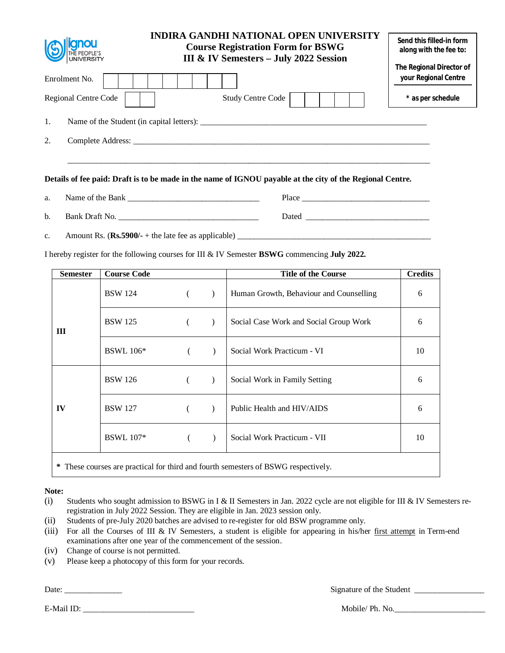| <b>ignou</b>         | <b>INDIRA GANDHI NATIONAL OPEN UNIVERSITY</b><br><b>Course Registration Form for BSWG</b><br>III & IV Semesters - July 2022 Session |                                                  |  |  |  |  |  |
|----------------------|-------------------------------------------------------------------------------------------------------------------------------------|--------------------------------------------------|--|--|--|--|--|
| Enrolment No.        |                                                                                                                                     | The Regional Director of<br>your Regional Centre |  |  |  |  |  |
| Regional Centre Code | <b>Study Centre Code</b>                                                                                                            | * as per schedule                                |  |  |  |  |  |
| 1.                   | Name of the Student (in capital letters):                                                                                           |                                                  |  |  |  |  |  |
| 2.                   |                                                                                                                                     |                                                  |  |  |  |  |  |
|                      |                                                                                                                                     |                                                  |  |  |  |  |  |
|                      | Details of fee paid: Draft is to be made in the name of IGNOU payable at the city of the Regional Centre.                           |                                                  |  |  |  |  |  |

| a. | Name of the<br>Bank  | Place |
|----|----------------------|-------|
|    |                      |       |
| b. | <b>Bank Draft No</b> | Dated |

c. Amount Rs. (**Rs.5900/-** + the late fee as applicable) \_\_\_\_\_\_\_\_\_\_\_\_\_\_\_\_\_\_\_\_\_\_\_\_\_\_\_\_\_\_\_\_\_\_\_\_\_\_\_\_\_\_\_\_\_\_\_

I hereby register for the following courses for III & IV Semester **BSWG** commencing **July 2022.** 

| <b>Semester</b>                                                                    | <b>Course Code</b> |  |               | <b>Title of the Course</b>              | <b>Credits</b> |
|------------------------------------------------------------------------------------|--------------------|--|---------------|-----------------------------------------|----------------|
|                                                                                    | <b>BSW</b> 124     |  | $\rightarrow$ | Human Growth, Behaviour and Counselling | 6              |
| Ш                                                                                  | <b>BSW 125</b>     |  |               | Social Case Work and Social Group Work  | 6              |
|                                                                                    | <b>BSWL</b> 106*   |  | $\lambda$     | Social Work Practicum - VI              | 10             |
|                                                                                    | <b>BSW</b> 126     |  |               | Social Work in Family Setting           | 6              |
| IV                                                                                 | <b>BSW</b> 127     |  |               | Public Health and HIV/AIDS              | 6              |
|                                                                                    | <b>BSWL</b> 107*   |  |               | Social Work Practicum - VII             | 10             |
| * These courses are practical for third and fourth semesters of BSWG respectively. |                    |  |               |                                         |                |

**Note:**

(i) Students who sought admission to BSWG in I & II Semesters in Jan. 2022 cycle are not eligible for III & IV Semesters reregistration in July 2022 Session. They are eligible in Jan. 2023 session only.

- (ii) Students of pre-July 2020 batches are advised to re-register for old BSW programme only.
- (iii) For all the Courses of III & IV Semesters, a student is eligible for appearing in his/her first attempt in Term-end examinations after one year of the commencement of the session.
- (iv) Change of course is not permitted.
- (v) Please keep a photocopy of this form for your records.

Date: \_\_\_\_\_\_\_\_\_\_\_\_\_\_ Signature of the Student \_\_\_\_\_\_\_\_\_\_\_\_\_\_\_\_\_

E-Mail ID: The Mobile/ Ph. No.